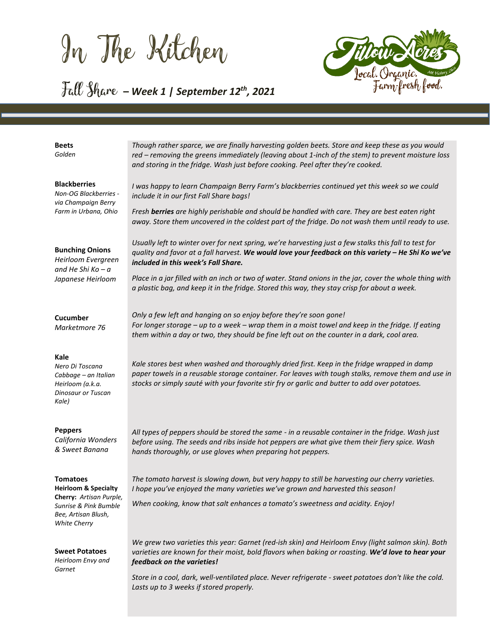In The Kitchen



Fall Share **–** *Week 1 | September 12th , 2021*

| <b>Beets</b><br>Golden                                                                                                                               | Though rather sparce, we are finally harvesting golden beets. Store and keep these as you would<br>red - removing the greens immediately (leaving about 1-inch of the stem) to prevent moisture loss<br>and storing in the fridge. Wash just before cooking. Peel after they're cooked.            |
|------------------------------------------------------------------------------------------------------------------------------------------------------|----------------------------------------------------------------------------------------------------------------------------------------------------------------------------------------------------------------------------------------------------------------------------------------------------|
| <b>Blackberries</b><br>Non-OG Blackberries -<br>via Champaign Berry<br>Farm in Urbana, Ohio                                                          | I was happy to learn Champaign Berry Farm's blackberries continued yet this week so we could<br>include it in our first Fall Share bags!                                                                                                                                                           |
|                                                                                                                                                      | Fresh berries are highly perishable and should be handled with care. They are best eaten right<br>away. Store them uncovered in the coldest part of the fridge. Do not wash them until ready to use.                                                                                               |
| <b>Bunching Onions</b><br>Heirloom Evergreen<br>and He Shi Ko $-a$<br>Japanese Heirloom                                                              | Usually left to winter over for next spring, we're harvesting just a few stalks this fall to test for<br>quality and favor at a fall harvest. We would love your feedback on this variety - He Shi Ko we've<br>included in this week's Fall Share.                                                 |
|                                                                                                                                                      | Place in a jar filled with an inch or two of water. Stand onions in the jar, cover the whole thing with<br>a plastic bag, and keep it in the fridge. Stored this way, they stay crisp for about a week.                                                                                            |
| <b>Cucumber</b><br>Marketmore 76                                                                                                                     | Only a few left and hanging on so enjoy before they're soon gone!<br>For longer storage - up to a week - wrap them in a moist towel and keep in the fridge. If eating<br>them within a day or two, they should be fine left out on the counter in a dark, cool area.                               |
| Kale<br>Nero Di Toscana<br>Cabbage - an Italian<br>Heirloom (a.k.a.<br><b>Dinosaur or Tuscan</b><br>Kale)                                            | Kale stores best when washed and thoroughly dried first. Keep in the fridge wrapped in damp<br>paper towels in a reusable storage container. For leaves with tough stalks, remove them and use in<br>stocks or simply sauté with your favorite stir fry or garlic and butter to add over potatoes. |
| <b>Peppers</b><br>California Wonders<br>& Sweet Banana                                                                                               | All types of peppers should be stored the same - in a reusable container in the fridge. Wash just<br>before using. The seeds and ribs inside hot peppers are what give them their fiery spice. Wash<br>hands thoroughly, or use gloves when preparing hot peppers.                                 |
| <b>Tomatoes</b><br><b>Heirloom &amp; Specialty</b><br>Cherry: Artisan Purple,<br>Sunrise & Pink Bumble<br>Bee, Artisan Blush,<br><b>White Cherry</b> | The tomato harvest is slowing down, but very happy to still be harvesting our cherry varieties.<br>I hope you've enjoyed the many varieties we've grown and harvested this season!                                                                                                                 |
|                                                                                                                                                      | When cooking, know that salt enhances a tomato's sweetness and acidity. Enjoy!                                                                                                                                                                                                                     |
| <b>Sweet Potatoes</b>                                                                                                                                | We grew two varieties this year: Garnet (red-ish skin) and Heirloom Envy (light salmon skin). Both<br>varieties are known for their moist, bold flavors when baking or roasting. We'd love to hear your                                                                                            |

*Heirloom Envy and Garnet*

*feedback on the varieties!* 

*Store in a cool, dark, well‐ventilated place. Never refrigerate ‐ sweet potatoes don't like the cold. Lasts up to 3 weeks if stored properly.*